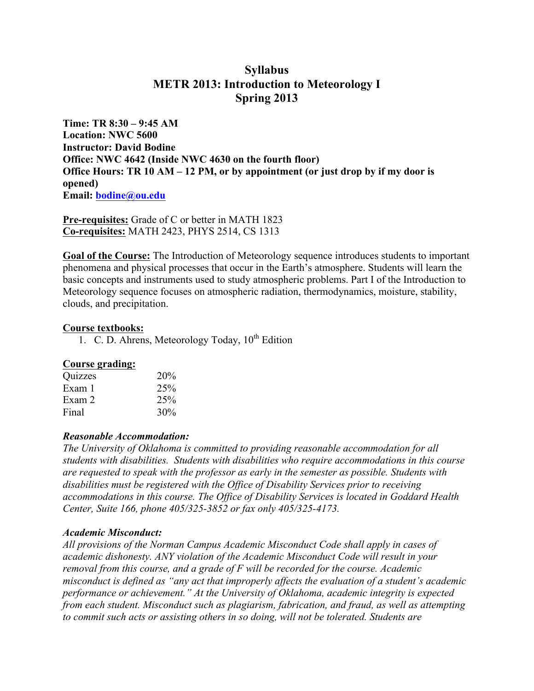# **Syllabus METR 2013: Introduction to Meteorology I Spring 2013**

**Time: TR 8:30 – 9:45 AM Location: NWC 5600 Instructor: David Bodine Office: NWC 4642 (Inside NWC 4630 on the fourth floor) Office Hours: TR 10 AM – 12 PM, or by appointment (or just drop by if my door is opened) Email: bodine@ou.edu**

**Pre-requisites:** Grade of C or better in MATH 1823 **Co-requisites:** MATH 2423, PHYS 2514, CS 1313

**Goal of the Course:** The Introduction of Meteorology sequence introduces students to important phenomena and physical processes that occur in the Earth's atmosphere. Students will learn the basic concepts and instruments used to study atmospheric problems. Part I of the Introduction to Meteorology sequence focuses on atmospheric radiation, thermodynamics, moisture, stability, clouds, and precipitation.

## **Course textbooks:**

1. C. D. Ahrens, Meteorology Today,  $10^{th}$  Edition

## **Course grading:**

| Quizzes | 20% |
|---------|-----|
| Exam 1  | 25% |
| Exam 2  | 25% |
| Final   | 30% |

#### *Reasonable Accommodation:*

*The University of Oklahoma is committed to providing reasonable accommodation for all students with disabilities. Students with disabilities who require accommodations in this course are requested to speak with the professor as early in the semester as possible. Students with disabilities must be registered with the Office of Disability Services prior to receiving accommodations in this course. The Office of Disability Services is located in Goddard Health Center, Suite 166, phone 405/325-3852 or fax only 405/325-4173.*

## *Academic Misconduct:*

*All provisions of the Norman Campus Academic Misconduct Code shall apply in cases of academic dishonesty. ANY violation of the Academic Misconduct Code will result in your removal from this course, and a grade of F will be recorded for the course. Academic misconduct is defined as "any act that improperly affects the evaluation of a student's academic performance or achievement." At the University of Oklahoma, academic integrity is expected from each student. Misconduct such as plagiarism, fabrication, and fraud, as well as attempting to commit such acts or assisting others in so doing, will not be tolerated. Students are*